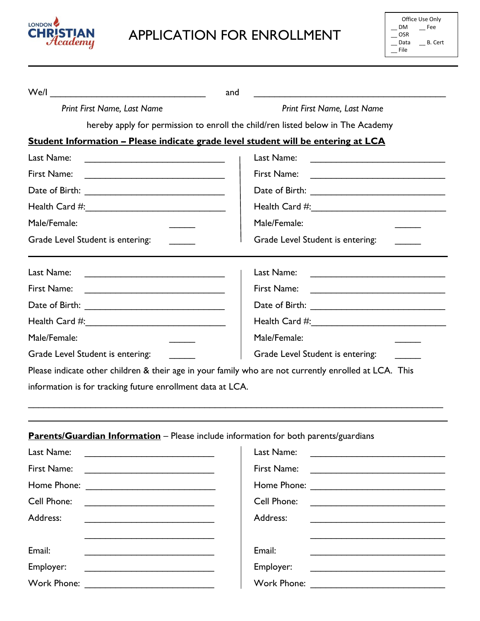

## APPLICATION FOR ENROLLMENT

| Office Use Only |         |  |
|-----------------|---------|--|
| DM              | Fee     |  |
| OSR             |         |  |
| Data            | B. Cert |  |
| File            |         |  |

| We/l                                                                                                                                 | and                                                                                                                                                                                                                                                 |
|--------------------------------------------------------------------------------------------------------------------------------------|-----------------------------------------------------------------------------------------------------------------------------------------------------------------------------------------------------------------------------------------------------|
| Print First Name, Last Name                                                                                                          | Print First Name, Last Name                                                                                                                                                                                                                         |
|                                                                                                                                      | hereby apply for permission to enroll the child/ren listed below in The Academy                                                                                                                                                                     |
| Student Information – Please indicate grade level student will be entering at LCA                                                    |                                                                                                                                                                                                                                                     |
| Last Name:                                                                                                                           | Last Name:<br><u> 1990 - Johann John Stoff, fransk politik (d. 19</u>                                                                                                                                                                               |
| First Name:                                                                                                                          | First Name:<br><u> Territoria de la contenentación de la contenentación de la contenentación de la contenentación de la contenentación de la contenentación de la contenentación de la contenentación de la contenentación de la contenentación</u> |
|                                                                                                                                      |                                                                                                                                                                                                                                                     |
|                                                                                                                                      |                                                                                                                                                                                                                                                     |
| Male/Female:                                                                                                                         | Male/Female:                                                                                                                                                                                                                                        |
| Grade Level Student is entering:                                                                                                     | Grade Level Student is entering:                                                                                                                                                                                                                    |
| Last Name:<br><u> 1989 - Johann Stein, mars et al. 1989 - Anna ann an t-Anna ann an t-Anna ann an t-Anna ann an t-Anna ann an t-</u> | Last Name:                                                                                                                                                                                                                                          |
| First Name:                                                                                                                          | First Name:                                                                                                                                                                                                                                         |
|                                                                                                                                      |                                                                                                                                                                                                                                                     |
|                                                                                                                                      |                                                                                                                                                                                                                                                     |
| Male/Female:                                                                                                                         | Male/Female:                                                                                                                                                                                                                                        |
| Grade Level Student is entering:                                                                                                     | Grade Level Student is entering:                                                                                                                                                                                                                    |
| Please indicate other children & their age in your family who are not currently enrolled at LCA. This                                |                                                                                                                                                                                                                                                     |
| information is for tracking future enrollment data at LCA.                                                                           |                                                                                                                                                                                                                                                     |
|                                                                                                                                      |                                                                                                                                                                                                                                                     |
| Parents/Guardian Information - Please include information for both parents/guardians<br>Last Name:                                   | Last Name:                                                                                                                                                                                                                                          |
| First Name:                                                                                                                          | First Name:<br>the control of the control of the control of the control of the control of the control of                                                                                                                                            |
| Home Phone: <u>_________________________________</u>                                                                                 |                                                                                                                                                                                                                                                     |
| Cell Phone:                                                                                                                          | Cell Phone:                                                                                                                                                                                                                                         |
| Address:                                                                                                                             | Address:                                                                                                                                                                                                                                            |
| Email:                                                                                                                               | Email:                                                                                                                                                                                                                                              |
| Employer:<br><u> 1989 - Johann Harry Barn, mars ar yn y brenin y brenin y brenin y brenin y brenin y brenin y brenin y brenin</u>    | Employer:                                                                                                                                                                                                                                           |
| Work Phone:                                                                                                                          |                                                                                                                                                                                                                                                     |
|                                                                                                                                      |                                                                                                                                                                                                                                                     |